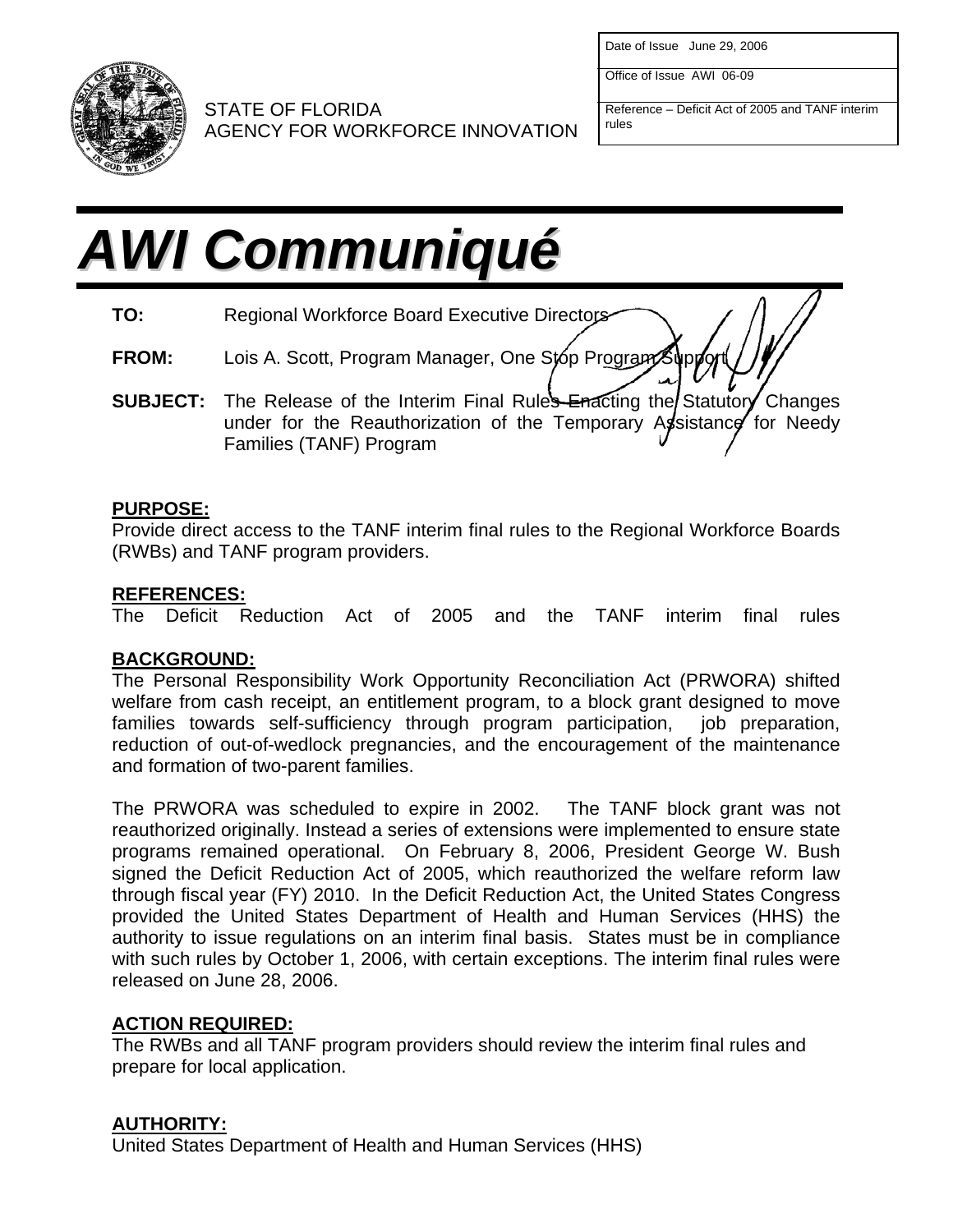

Date of Issue June 29, 2006

Office of Issue AWI 06-09

Reference – Deficit Act of 2005 and TANF interim STATE OF FLORIDA<br>AGENCY FOR WORKFORCE INNOVATION

# *AWI Communiqué*

**TO:** Regional Workforce Board Executive Directors

- **FROM:** Lois A. Scott, Program Manager, One Stop Program
- **SUBJECT:** The Release of the Interim Final Rules Enacting the Statutory Changes under for the Reauthorization of the Temporary Assistance for Needy Families (TANF) Program

#### **PURPOSE:**

Provide direct access to the TANF interim final rules to the Regional Workforce Boards (RWBs) and TANF program providers.

## **REFERENCES:**

The Deficit Reduction Act of 2005 and the TANF interim final rules

## **BACKGROUND:**

The Personal Responsibility Work Opportunity Reconciliation Act (PRWORA) shifted welfare from cash receipt, an entitlement program, to a block grant designed to move families towards self-sufficiency through program participation, job preparation, reduction of out-of-wedlock pregnancies, and the encouragement of the maintenance and formation of two-parent families.

The PRWORA was scheduled to expire in 2002. The TANF block grant was not reauthorized originally. Instead a series of extensions were implemented to ensure state programs remained operational. On February 8, 2006, President George W. Bush signed the Deficit Reduction Act of 2005, which reauthorized the welfare reform law through fiscal year (FY) 2010. In the Deficit Reduction Act, the United States Congress provided the United States Department of Health and Human Services (HHS) the authority to issue regulations on an interim final basis. States must be in compliance with such rules by October 1, 2006, with certain exceptions. The interim final rules were released on June 28, 2006.

#### **ACTION REQUIRED:**

The RWBs and all TANF program providers should review the interim final rules and prepare for local application.

## **AUTHORITY:**

United States Department of Health and Human Services (HHS)